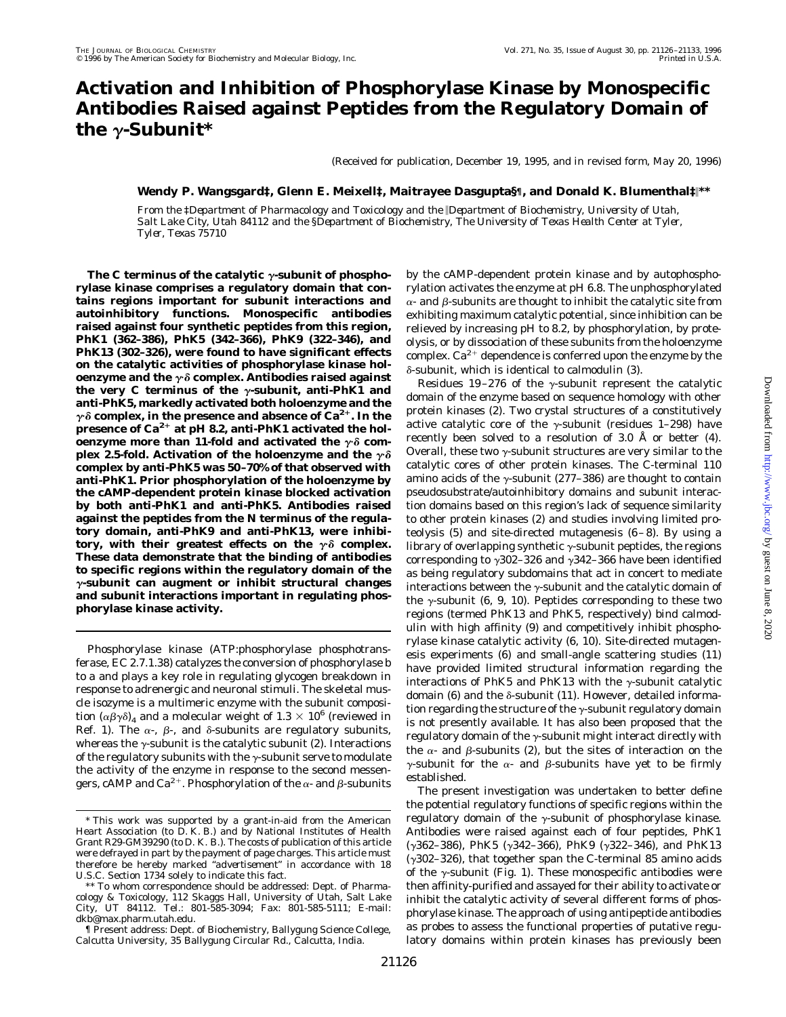# **Activation and Inhibition of Phosphorylase Kinase by Monospecific Antibodies Raised against Peptides from the Regulatory Domain of** the  $\gamma$ -Subunit<sup>\*</sup>

(Received for publication, December 19, 1995, and in revised form, May 20, 1996)

### **Wendy P. Wangsgard‡, Glenn E. Meixell‡, Maitrayee Dasgupta§¶, and Donald K. Blumenthal‡**i**\*\***

*From the* ‡*Department of Pharmacology and Toxicology and the* i*Department of Biochemistry, University of Utah, Salt Lake City, Utah 84112 and the* §*Department of Biochemistry, The University of Texas Health Center at Tyler, Tyler, Texas 75710*

The C terminus of the catalytic  $\gamma$ -subunit of phospho**rylase kinase comprises a regulatory domain that contains regions important for subunit interactions and autoinhibitory functions. Monospecific antibodies raised against four synthetic peptides from this region, PhK1 (362–386), PhK5 (342–366), PhK9 (322–346), and PhK13 (302–326), were found to have significant effects on the catalytic activities of phosphorylase kinase holoenzyme and the**  $\gamma \delta$  **complex. Antibodies raised against** the very C terminus of the γ-subunit, anti-PhK1 and **anti-PhK5, markedly activated both holoenzyme and the**  $\gamma$  $\delta$  complex, in the presence and absence of Ca<sup>2+</sup>. In the **presence of Ca2**<sup>1</sup> **at pH 8.2, anti-PhK1 activated the hol**oenzyme more than 11-fold and activated the  $\gamma \delta$  complex 2.5-fold. Activation of the holoenzyme and the  $\gamma\delta$ **complex by anti-PhK5 was 50 –70% of that observed with anti-PhK1. Prior phosphorylation of the holoenzyme by the cAMP-dependent protein kinase blocked activation by both anti-PhK1 and anti-PhK5. Antibodies raised against the peptides from the N terminus of the regulatory domain, anti-PhK9 and anti-PhK13, were inhibitory, with their greatest effects on the**  $\gamma \delta$  **complex. These data demonstrate that the binding of antibodies to specific regions within the regulatory domain of the** <sup>g</sup>**-subunit can augment or inhibit structural changes and subunit interactions important in regulating phosphorylase kinase activity.**

Phosphorylase kinase (ATP:phosphorylase phosphotransferase, EC 2.7.1.38) catalyzes the conversion of phosphorylase *b* to *a* and plays a key role in regulating glycogen breakdown in response to adrenergic and neuronal stimuli. The skeletal muscle isozyme is a multimeric enzyme with the subunit composition  $(\alpha\beta\gamma\delta)_4$  and a molecular weight of 1.3  $\times$  10<sup>6</sup> (reviewed in Ref. 1). The  $\alpha$ -,  $\beta$ -, and  $\delta$ -subunits are regulatory subunits, whereas the  $\gamma$ -subunit is the catalytic subunit (2). Interactions of the regulatory subunits with the  $\gamma$ -subunit serve to modulate the activity of the enzyme in response to the second messengers, cAMP and Ca<sup>2+</sup>. Phosphorylation of the  $\alpha$ - and  $\beta$ -subunits by the cAMP-dependent protein kinase and by autophosphorylation activates the enzyme at pH 6.8. The unphosphorylated  $\alpha$ - and  $\beta$ -subunits are thought to inhibit the catalytic site from exhibiting maximum catalytic potential, since inhibition can be relieved by increasing pH to 8.2, by phosphorylation, by proteolysis, or by dissociation of these subunits from the holoenzyme complex.  $Ca^{2+}$  dependence is conferred upon the enzyme by the  $\delta$ -subunit, which is identical to calmodulin (3).

Residues 19-276 of the  $\gamma$ -subunit represent the catalytic domain of the enzyme based on sequence homology with other protein kinases (2). Two crystal structures of a constitutively active catalytic core of the  $\gamma$ -subunit (residues 1–298) have recently been solved to a resolution of 3.0 Å or better (4). Overall, these two  $\gamma$ -subunit structures are very similar to the catalytic cores of other protein kinases. The C-terminal 110 amino acids of the  $\gamma$ -subunit (277–386) are thought to contain pseudosubstrate/autoinhibitory domains and subunit interaction domains based on this region's lack of sequence similarity to other protein kinases (2) and studies involving limited proteolysis (5) and site-directed mutagenesis  $(6-8)$ . By using a library of overlapping synthetic  $\gamma$ -subunit peptides, the regions corresponding to  $\gamma$ 302–326 and  $\gamma$ 342–366 have been identified as being regulatory subdomains that act in concert to mediate interactions between the  $\gamma$ -subunit and the catalytic domain of the  $\gamma$ -subunit (6, 9, 10). Peptides corresponding to these two regions (termed PhK13 and PhK5, respectively) bind calmodulin with high affinity (9) and competitively inhibit phosphorylase kinase catalytic activity (6, 10). Site-directed mutagenesis experiments (6) and small-angle scattering studies (11) have provided limited structural information regarding the interactions of PhK5 and PhK13 with the  $\gamma$ -subunit catalytic domain (6) and the  $\delta$ -subunit (11). However, detailed information regarding the structure of the  $\gamma$ -subunit regulatory domain is not presently available. It has also been proposed that the regulatory domain of the  $\gamma$ -subunit might interact directly with the  $\alpha$ - and  $\beta$ -subunits (2), but the sites of interaction on the  $\gamma$ -subunit for the  $\alpha$ - and  $\beta$ -subunits have yet to be firmly established.

The present investigation was undertaken to better define the potential regulatory functions of specific regions within the regulatory domain of the  $\gamma$ -subunit of phosphorylase kinase. Antibodies were raised against each of four peptides, PhK1 ( $\gamma$ 362–386), PhK5 ( $\gamma$ 342–366), PhK9 ( $\gamma$ 322–346), and PhK13 ( $\gamma$ 302–326), that together span the C-terminal 85 amino acids of the  $\gamma$ -subunit (Fig. 1). These monospecific antibodies were then affinity-purified and assayed for their ability to activate or inhibit the catalytic activity of several different forms of phosphorylase kinase. The approach of using antipeptide antibodies as probes to assess the functional properties of putative regulatory domains within protein kinases has previously been

<sup>\*</sup> This work was supported by a grant-in-aid from the American Heart Association (to D. K. B.) and by National Institutes of Health Grant R29-GM39290 (to D. K. B.). The costs of publication of this article were defrayed in part by the payment of page charges. This article must therefore be hereby marked "*advertisement*" in accordance with 18 U.S.C. Section 1734 solely to indicate this fact.

<sup>\*\*</sup> To whom correspondence should be addressed: Dept. of Pharmacology & Toxicology, 112 Skaggs Hall, University of Utah, Salt Lake City, UT 84112. Tel.: 801-585-3094; Fax: 801-585-5111; E-mail: dkb@max.pharm.utah.edu.

<sup>¶</sup> Present address: Dept. of Biochemistry, Ballygung Science College, Calcutta University, 35 Ballygung Circular Rd., Calcutta, India.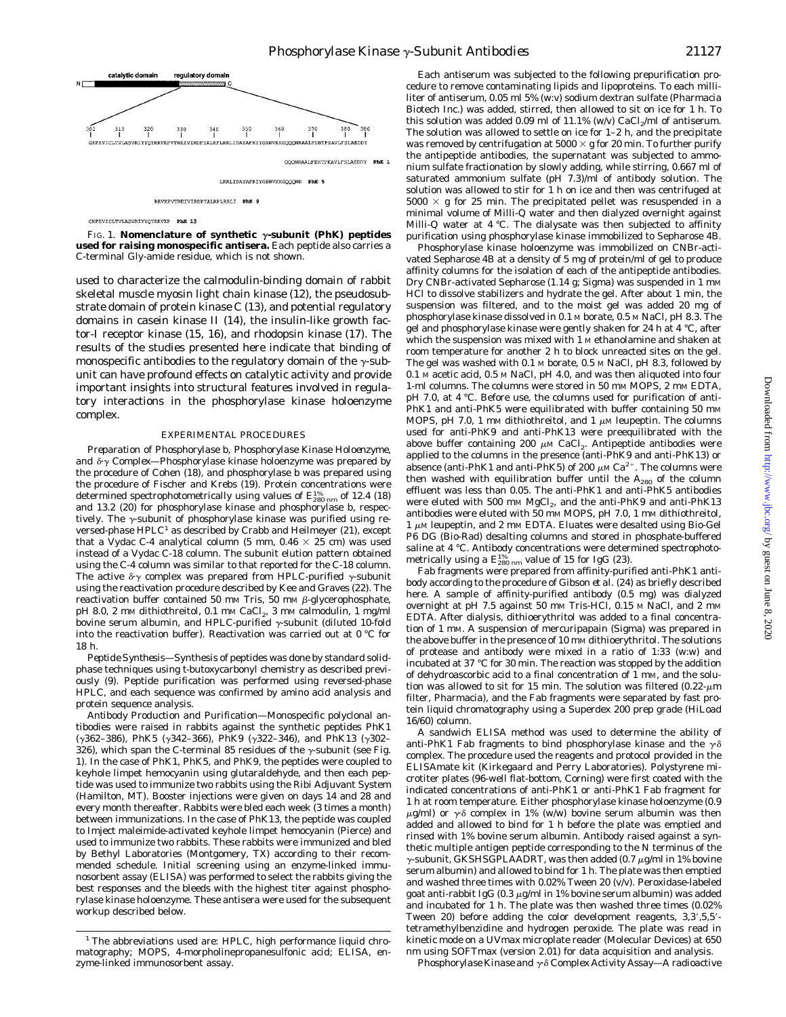

RRVKPVTREIVIRDPYALRPLRRLI PhK 9

GKFKVICLTVLASVRIYYQYRRVKP PhK 13

FIG. 1. **Nomenclature of synthetic**  $\gamma$ -subunit (PhK) peptides **used for raising monospecific antisera.** Each peptide also carries a C-terminal Gly-amide residue, which is not shown.

used to characterize the calmodulin-binding domain of rabbit skeletal muscle myosin light chain kinase (12), the pseudosubstrate domain of protein kinase C (13), and potential regulatory domains in casein kinase II (14), the insulin-like growth factor-I receptor kinase (15, 16), and rhodopsin kinase (17). The results of the studies presented here indicate that binding of monospecific antibodies to the regulatory domain of the  $\gamma$ -subunit can have profound effects on catalytic activity and provide important insights into structural features involved in regulatory interactions in the phosphorylase kinase holoenzyme complex.

#### EXPERIMENTAL PROCEDURES

*Preparation of Phosphorylase b, Phosphorylase Kinase Holoenzyme, and*  $\delta \gamma$  *Complex*—Phosphorylase kinase holoenzyme was prepared by the procedure of Cohen (18), and phosphorylase *b* was prepared using the procedure of Fischer and Krebs (19). Protein concentrations were determined spectrophotometrically using values of  $E_{280\ nm}^{4\%}$  of 12.4 (18) and 13.2 (20) for phosphorylase kinase and phosphorylase *b*, respectively. The  $\gamma$ -subunit of phosphorylase kinase was purified using reversed-phase  $HPLC<sup>1</sup>$  as described by Crabb and Heilmeyer (21), except that a Vydac C-4 analytical column (5 mm,  $0.46 \times 25$  cm) was used instead of a Vydac C-18 column. The subunit elution pattern obtained using the C-4 column was similar to that reported for the C-18 column. The active  $\delta \gamma$  complex was prepared from HPLC-purified  $\gamma$ -subunit using the reactivation procedure described by Kee and Graves (22). The reactivation buffer contained 50 mm Tris, 50 mm  $\beta$ -glycerophosphate, pH 8.0, 2 mM dithiothreitol, 0.1 mM CaCl<sub>2</sub>, 3 mM calmodulin, 1 mg/ml bovine serum albumin, and HPLC-purified  $\gamma$ -subunit (diluted 10-fold into the reactivation buffer). Reactivation was carried out at 0 °C for 18 h.

*Peptide Synthesis—*Synthesis of peptides was done by standard solidphase techniques using *t*-butoxycarbonyl chemistry as described previously (9). Peptide purification was performed using reversed-phase HPLC, and each sequence was confirmed by amino acid analysis and protein sequence analysis.

*Antibody Production and Purification—*Monospecific polyclonal antibodies were raised in rabbits against the synthetic peptides PhK1 ( $\gamma$ 362–386), PhK5 ( $\gamma$ 342–366), PhK9 ( $\gamma$ 322–346), and PhK13 ( $\gamma$ 302– 326), which span the C-terminal 85 residues of the  $\gamma$ -subunit (see Fig. 1). In the case of PhK1, PhK5, and PhK9, the peptides were coupled to keyhole limpet hemocyanin using glutaraldehyde, and then each peptide was used to immunize two rabbits using the Ribi Adjuvant System (Hamilton, MT). Booster injections were given on days 14 and 28 and every month thereafter. Rabbits were bled each week (3 times a month) between immunizations. In the case of PhK13, the peptide was coupled to Imject maleimide-activated keyhole limpet hemocyanin (Pierce) and used to immunize two rabbits. These rabbits were immunized and bled by Bethyl Laboratories (Montgomery, TX) according to their recommended schedule. Initial screening using an enzyme-linked immunosorbent assay (ELISA) was performed to select the rabbits giving the best responses and the bleeds with the highest titer against phosphorylase kinase holoenzyme. These antisera were used for the subsequent workup described below.

Each antiserum was subjected to the following prepurification procedure to remove contaminating lipids and lipoproteins. To each milliliter of antiserum, 0.05 ml 5% (w:v) sodium dextran sulfate (Pharmacia Biotech Inc.) was added, stirred, then allowed to sit on ice for 1 h. To this solution was added 0.09 ml of 11.1% (w/v)  $CaCl<sub>2</sub>/ml$  of antiserum. The solution was allowed to settle on ice for 1–2 h, and the precipitate was removed by centrifugation at  $5000 \times g$  for 20 min. To further purify the antipeptide antibodies, the supernatant was subjected to ammonium sulfate fractionation by slowly adding, while stirring, 0.667 ml of saturated ammonium sulfate (pH 7.3)/ml of antibody solution. The solution was allowed to stir for 1 h on ice and then was centrifuged at  $5000 \times g$  for 25 min. The precipitated pellet was resuspended in a minimal volume of Milli-Q water and then dialyzed overnight against Milli-Q water at 4 °C. The dialysate was then subjected to affinity purification using phosphorylase kinase immobilized to Sepharose 4B.

Phosphorylase kinase holoenzyme was immobilized on CNBr-activated Sepharose 4B at a density of 5 mg of protein/ml of gel to produce affinity columns for the isolation of each of the antipeptide antibodies. Dry CNBr-activated Sepharose (1.14 g; Sigma) was suspended in 1 mM HCl to dissolve stabilizers and hydrate the gel. After about 1 min, the suspension was filtered, and to the moist gel was added 20 mg of phosphorylase kinase dissolved in 0.1 M borate, 0.5 M NaCl, pH 8.3. The gel and phosphorylase kinase were gently shaken for 24 h at 4 °C, after which the suspension was mixed with 1 M ethanolamine and shaken at room temperature for another 2 h to block unreacted sites on the gel. The gel was washed with 0.1 M borate, 0.5 M NaCl, pH 8.3, followed by 0.1 M acetic acid, 0.5 M NaCl, pH 4.0, and was then aliquoted into four 1-ml columns. The columns were stored in 50 mm MOPS, 2 mm EDTA, pH 7.0, at 4 °C. Before use, the columns used for purification of anti-PhK1 and anti-PhK5 were equilibrated with buffer containing 50 mm MOPS, pH 7.0, 1 mm dithiothreitol, and 1  $\mu$ M leupeptin. The columns used for anti-PhK9 and anti-PhK13 were preequilibrated with the above buffer containing 200  $\mu$ M CaCl<sub>2</sub>. Antipeptide antibodies were applied to the columns in the presence (anti-PhK9 and anti-PhK13) or absence (anti-PhK1 and anti-PhK5) of 200  $\mu$ M Ca<sup>2+</sup>. The columns were then washed with equilibration buffer until the  $A_{280}$  of the column effluent was less than 0.05. The anti-PhK1 and anti-PhK5 antibodies were eluted with 500 mm MgCl<sub>2</sub>, and the anti-PhK9 and anti-PhK13 antibodies were eluted with 50 mm MOPS, pH 7.0, 1 mm dithiothreitol,  $1 \mu$ M leupeptin, and  $2 \mu$ M EDTA. Eluates were desalted using Bio-Gel P6 DG (Bio-Rad) desalting columns and stored in phosphate-buffered saline at 4 °C. Antibody concentrations were determined spectrophotometrically using a  $E_{280\ nm}^{1\%}$  value of 15 for IgG (23).

Fab fragments were prepared from affinity-purified anti-PhK1 antibody according to the procedure of Gibson *et al.* (24) as briefly described here. A sample of affinity-purified antibody (0.5 mg) was dialyzed overnight at pH 7.5 against 50 mM Tris-HCl, 0.15 M NaCl, and 2 mM EDTA. After dialysis, dithioerythritol was added to a final concentration of 1 mM. A suspension of mercuripapain (Sigma) was prepared in the above buffer in the presence of 10 mm dithioerythritol. The solutions of protease and antibody were mixed in a ratio of 1:33 (w:w) and incubated at 37 °C for 30 min. The reaction was stopped by the addition of dehydroascorbic acid to a final concentration of 1 mM, and the solution was allowed to sit for 15 min. The solution was filtered  $(0.22 \text{-} \mu \text{m})$ filter, Pharmacia), and the Fab fragments were separated by fast protein liquid chromatography using a Superdex 200 prep grade (HiLoad 16/60) column.

A sandwich ELISA method was used to determine the ability of anti-PhK1 Fab fragments to bind phosphorylase kinase and the  $\gamma \delta$ complex. The procedure used the reagents and protocol provided in the ELISAmate kit (Kirkegaard and Perry Laboratories). Polystyrene microtiter plates (96-well flat-bottom, Corning) were first coated with the indicated concentrations of anti-PhK1 or anti-PhK1 Fab fragment for 1 h at room temperature. Either phosphorylase kinase holoenzyme (0.9  $\mu$ g/ml) or  $\gamma$  $\delta$  complex in 1% (w/w) bovine serum albumin was then added and allowed to bind for 1 h before the plate was emptied and rinsed with 1% bovine serum albumin. Antibody raised against a synthetic multiple antigen peptide corresponding to the N terminus of the  $\gamma$ -subunit, GKSHSGPLAADRT, was then added (0.7  $\mu$ g/ml in 1% bovine serum albumin) and allowed to bind for 1 h. The plate was then emptied and washed three times with 0.02% Tween 20 (v/v). Peroxidase-labeled goat anti-rabbit IgG (0.3  $\mu$ g/ml in 1% bovine serum albumin) was added and incubated for 1 h. The plate was then washed three times (0.02% Tween 20) before adding the color development reagents,  $3,3',5,5'$ tetramethylbenzidine and hydrogen peroxide. The plate was read in kinetic mode on a UVmax microplate reader (Molecular Devices) at 650 nm using SOFTmax (version 2.01) for data acquisition and analysis.

*Phosphorylase Kinase and* γδ *Complex Activity Assay*—A radioactive

<sup>&</sup>lt;sup>1</sup> The abbreviations used are: HPLC, high performance liquid chromatography; MOPS, 4-morpholinepropanesulfonic acid; ELISA, enzyme-linked immunosorbent assay.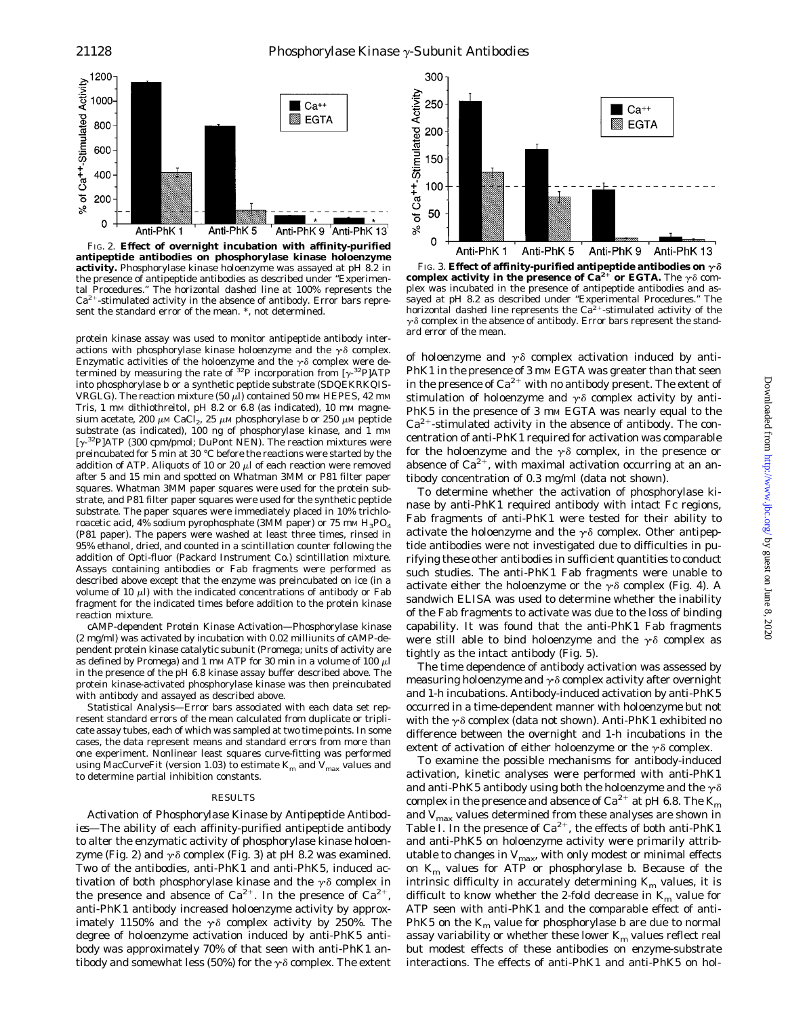

FIG. 2. **Effect of overnight incubation with affinity-purified antipeptide antibodies on phosphorylase kinase holoenzyme activity.** Phosphorylase kinase holoenzyme was assayed at pH 8.2 in the presence of antipeptide antibodies as described under "Experimental Procedures." The *horizontal dashed line* at 100% represents the Ca<sup>2+</sup>-stimulated activity in the absence of antibody. *Error bars* represent the standard error of the mean. \*, not determined.

protein kinase assay was used to monitor antipeptide antibody interactions with phosphorylase kinase holoenzyme and the  $\gamma\delta$  complex. Enzymatic activities of the holoenzyme and the  $\gamma\delta$  complex were determined by measuring the rate of  $32P$  incorporation from [ $\gamma$ - $32P$ ]ATP into phosphorylase *b* or a synthetic peptide substrate (SDQEKRKQIS-VRGLG). The reaction mixture (50  $\mu$ l) contained 50 mm HEPES, 42 mm Tris, 1 mm dithiothreitol, pH 8.2 or 6.8 (as indicated), 10 mm magnesium acetate, 200  $\mu$ M CaCl<sub>2</sub>, 25  $\mu$ M phosphorylase *b* or 250  $\mu$ M peptide substrate (as indicated), 100 ng of phosphorylase kinase, and 1 mM  $[\gamma^{32}P]$ ATP (300 cpm/pmol; DuPont NEN). The reaction mixtures were preincubated for 5 min at 30 °C before the reactions were started by the addition of ATP. Aliquots of 10 or 20  $\mu$ l of each reaction were removed after 5 and 15 min and spotted on Whatman 3MM or P81 filter paper squares. Whatman 3MM paper squares were used for the protein substrate, and P81 filter paper squares were used for the synthetic peptide substrate. The paper squares were immediately placed in 10% trichloroacetic acid, 4% sodium pyrophosphate (3MM paper) or 75 mm  $H_3PO_4$ (P81 paper). The papers were washed at least three times, rinsed in 95% ethanol, dried, and counted in a scintillation counter following the addition of Opti-fluor (Packard Instrument Co.) scintillation mixture. Assays containing antibodies or Fab fragments were performed as described above except that the enzyme was preincubated on ice (in a volume of 10  $\mu$ l) with the indicated concentrations of antibody or Fab fragment for the indicated times before addition to the protein kinase reaction mixture.

*cAMP-dependent Protein Kinase Activation—*Phosphorylase kinase (2 mg/ml) was activated by incubation with 0.02 milliunits of cAMP-dependent protein kinase catalytic subunit (Promega; units of activity are as defined by Promega) and 1 mm ATP for 30 min in a volume of 100  $\mu$ l in the presence of the pH 6.8 kinase assay buffer described above. The protein kinase-activated phosphorylase kinase was then preincubated with antibody and assayed as described above.

*Statistical Analysis—*Error bars associated with each data set represent standard errors of the mean calculated from duplicate or triplicate assay tubes, each of which was sampled at two time points. In some cases, the data represent means and standard errors from more than one experiment. Nonlinear least squares curve-fitting was performed using MacCurveFit (version 1.03) to estimate  $K_m$  and  $V_{\text{max}}$  values and to determine partial inhibition constants.

#### RESULTS

*Activation of Phosphorylase Kinase by Antipeptide Antibodies—*The ability of each affinity-purified antipeptide antibody to alter the enzymatic activity of phosphorylase kinase holoenzyme (Fig. 2) and  $\gamma \delta$  complex (Fig. 3) at pH 8.2 was examined. Two of the antibodies, anti-PhK1 and anti-PhK5, induced activation of both phosphorylase kinase and the  $\gamma\delta$  complex in the presence and absence of  $Ca^{2+}$ . In the presence of  $Ca^{2+}$ , anti-PhK1 antibody increased holoenzyme activity by approximately 1150% and the  $\gamma\delta$  complex activity by 250%. The degree of holoenzyme activation induced by anti-PhK5 antibody was approximately 70% of that seen with anti-PhK1 antibody and somewhat less (50%) for the  $\gamma \delta$  complex. The extent



FIG. 3. **Effect of affinity-purified antipeptide antibodies on**  $\gamma \delta$  complex activity in the presence of Ca<sup>2+</sup> or EGTA. The  $\gamma \delta$  complex was incubated in the presence of antipeptide antibodies and assayed at pH 8.2 as described under "Experimental Procedures." The *horizontal dashed line* represents the Ca<sup>2+</sup>-stimulated activity of the  $\gamma$  $\delta$  complex in the absence of antibody. *Error bars* represent the standard error of the mean.

of holoenzyme and  $\gamma \delta$  complex activation induced by anti-PhK1 in the presence of 3 mm EGTA was greater than that seen in the presence of  $Ca^{2+}$  with no antibody present. The extent of stimulation of holoenzyme and  $\gamma\delta$  complex activity by anti-PhK5 in the presence of 3 mm EGTA was nearly equal to the  $Ca<sup>2+</sup>$ -stimulated activity in the absence of antibody. The concentration of anti-PhK1 required for activation was comparable for the holoenzyme and the  $\gamma\delta$  complex, in the presence or absence of  $Ca^{2+}$ , with maximal activation occurring at an antibody concentration of 0.3 mg/ml (data not shown).

To determine whether the activation of phosphorylase kinase by anti-PhK1 required antibody with intact Fc regions, Fab fragments of anti-PhK1 were tested for their ability to activate the holoenzyme and the  $\gamma\delta$  complex. Other antipeptide antibodies were not investigated due to difficulties in purifying these other antibodies in sufficient quantities to conduct such studies. The anti-PhK1 Fab fragments were unable to activate either the holoenzyme or the  $\gamma\delta$  complex (Fig. 4). A sandwich ELISA was used to determine whether the inability of the Fab fragments to activate was due to the loss of binding capability. It was found that the anti-PhK1 Fab fragments were still able to bind holoenzyme and the  $\gamma\delta$  complex as tightly as the intact antibody (Fig. 5).

The time dependence of antibody activation was assessed by measuring holoenzyme and  $\gamma \delta$  complex activity after overnight and 1-h incubations. Antibody-induced activation by anti-PhK5 occurred in a time-dependent manner with holoenzyme but not with the  $\gamma\delta$  complex (data not shown). Anti-PhK1 exhibited no difference between the overnight and 1-h incubations in the extent of activation of either holoenzyme or the  $\gamma \delta$  complex.

To examine the possible mechanisms for antibody-induced activation, kinetic analyses were performed with anti-PhK1 and anti-PhK5 antibody using both the holoenzyme and the  $\gamma \delta$ complex in the presence and absence of  $Ca^{2+}$  at pH 6.8. The  $K_m$ and  $V_{\text{max}}$  values determined from these analyses are shown in Table I. In the presence of  $Ca^{2+}$ , the effects of both anti-PhK1 and anti-PhK5 on holoenzyme activity were primarily attributable to changes in  $V_{\text{max}}$ , with only modest or minimal effects on *Km* values for ATP or phosphorylase *b*. Because of the intrinsic difficulty in accurately determining  $K_m$  values, it is difficult to know whether the 2-fold decrease in *Km* value for ATP seen with anti-PhK1 and the comparable effect of anti-PhK5 on the  $K_m$  value for phosphorylase  $b$  are due to normal assay variability or whether these lower  $K_m$  values reflect real but modest effects of these antibodies on enzyme-substrate interactions. The effects of anti-PhK1 and anti-PhK5 on hol-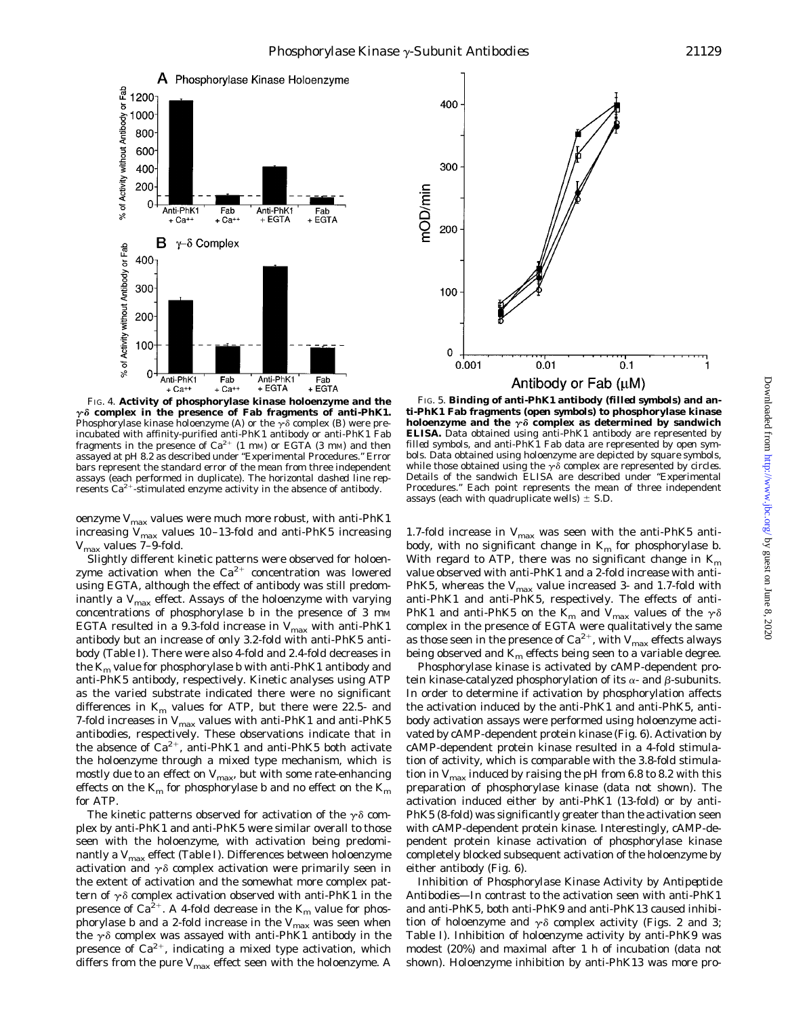

FIG. 4. **Activity of phosphorylase kinase holoenzyme and the**  $r\delta$  complex in the presence of Fab fragments of anti-PhK1. Phosphorylase kinase holoenzyme (*A*) or the  $\gamma \delta$  complex (*B*) were preincubated with affinity-purified anti-PhK1 antibody or anti-PhK1 Fab fragments in the presence of  $Ca^{2+}$  (1 mM) or EGTA (3 mM) and then assayed at pH 8.2 as described under "Experimental Procedures." *Error bars* represent the standard error of the mean from three independent assays (each performed in duplicate). The *horizontal dashed line* represents  $Ca^{2+}$ -stimulated enzyme activity in the absence of antibody.

oenzyme  $V_{\text{max}}$  values were much more robust, with anti-PhK1 increasing  $V_{\text{max}}$  values 10-13-fold and anti-PhK5 increasing *V*max values 7–9-fold.

Slightly different kinetic patterns were observed for holoenzyme activation when the  $Ca^{2+}$  concentration was lowered using EGTA, although the effect of antibody was still predominantly a  $V_{\text{max}}$  effect. Assays of the holoenzyme with varying concentrations of phosphorylase  $b$  in the presence of 3  $\text{mm}$ EGTA resulted in a 9.3-fold increase in  $V_{\text{max}}$  with anti-PhK1 antibody but an increase of only 3.2-fold with anti-PhK5 antibody (Table I). There were also 4-fold and 2.4-fold decreases in the  $K_m$  value for phosphorylase *b* with anti-PhK1 antibody and anti-PhK5 antibody, respectively. Kinetic analyses using ATP as the varied substrate indicated there were no significant differences in  $K<sub>m</sub>$  values for ATP, but there were 22.5- and 7-fold increases in  $V_{\text{max}}$  values with anti-PhK1 and anti-PhK5 antibodies, respectively. These observations indicate that in the absence of  $Ca^{2+}$ , anti-PhK1 and anti-PhK5 both activate the holoenzyme through a mixed type mechanism, which is mostly due to an effect on  $V_{\text{max}}$ , but with some rate-enhancing effects on the  $K_m$  for phosphorylase *b* and no effect on the  $K_m$ for ATP.

The kinetic patterns observed for activation of the  $\gamma\delta$  complex by anti-PhK1 and anti-PhK5 were similar overall to those seen with the holoenzyme, with activation being predominantly a  $V_{\text{max}}$  effect (Table I). Differences between holoenzyme activation and  $\gamma\delta$  complex activation were primarily seen in the extent of activation and the somewhat more complex pattern of  $\gamma\delta$  complex activation observed with anti-PhK1 in the presence of  $Ca^{2+}$ . A 4-fold decrease in the  $K_m$  value for phosphorylase *b* and a 2-fold increase in the  $V_{\text{max}}$  was seen when the  $\gamma\delta$  complex was assayed with anti-PhK1 antibody in the presence of  $Ca^{2+}$ , indicating a mixed type activation, which differs from the pure  $V_{\text{max}}$  effect seen with the holoenzyme. A



FIG. 5. **Binding of anti-PhK1 antibody (***filled symbols***) and anti-PhK1 Fab fragments (***open symbols***) to phosphorylase kinase** holoenzyme and the  $\gamma \delta$  complex as determined by sandwich **ELISA.** Data obtained using anti-PhK1 antibody are represented by *filled symbols*, and anti-PhK1 Fab data are represented by *open symbols*. Data obtained using holoenzyme are depicted by *square symbols*, while those obtained using the  $\gamma\delta$  complex are represented by *circles*. Details of the sandwich ELISA are described under "Experimental Procedures." Each point represents the mean of three independent assays (each with quadruplicate wells)  $\pm$  S.D.

1.7-fold increase in  $V_{\text{max}}$  was seen with the anti-PhK5 antibody, with no significant change in  $K_m$  for phosphorylase *b*. With regard to ATP, there was no significant change in *Km* value observed with anti-PhK1 and a 2-fold increase with anti-PhK5, whereas the  $V_{\text{max}}$  value increased 3- and 1.7-fold with anti-PhK1 and anti-PhK5, respectively. The effects of anti-PhK1 and anti-PhK5 on the  $K_m$  and  $V_{\text{max}}$  values of the  $\gamma \delta$ complex in the presence of EGTA were qualitatively the same as those seen in the presence of  $Ca^{2+}$ , with  $V_{\text{max}}$  effects always being observed and  $K_m$  effects being seen to a variable degree.

Phosphorylase kinase is activated by cAMP-dependent protein kinase-catalyzed phosphorylation of its  $\alpha$ - and  $\beta$ -subunits. In order to determine if activation by phosphorylation affects the activation induced by the anti-PhK1 and anti-PhK5, antibody activation assays were performed using holoenzyme activated by cAMP-dependent protein kinase (Fig. 6). Activation by cAMP-dependent protein kinase resulted in a 4-fold stimulation of activity, which is comparable with the 3.8-fold stimulation in  $V_{\text{max}}$  induced by raising the pH from 6.8 to 8.2 with this preparation of phosphorylase kinase (data not shown). The activation induced either by anti-PhK1 (13-fold) or by anti-PhK5 (8-fold) was significantly greater than the activation seen with cAMP-dependent protein kinase. Interestingly, cAMP-dependent protein kinase activation of phosphorylase kinase completely blocked subsequent activation of the holoenzyme by either antibody (Fig. 6).

*Inhibition of Phosphorylase Kinase Activity by Antipeptide Antibodies—*In contrast to the activation seen with anti-PhK1 and anti-PhK5, both anti-PhK9 and anti-PhK13 caused inhibition of holoenzyme and  $\gamma \delta$  complex activity (Figs. 2 and 3; Table I). Inhibition of holoenzyme activity by anti-PhK9 was modest (20%) and maximal after 1 h of incubation (data not shown). Holoenzyme inhibition by anti-PhK13 was more pro-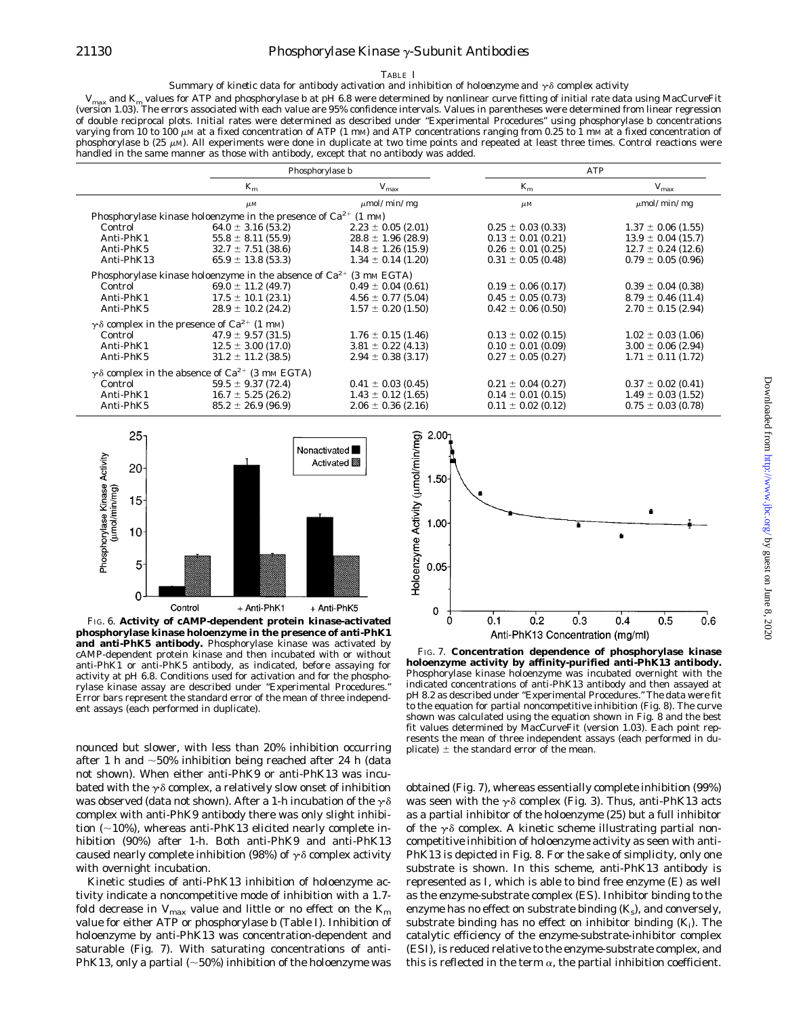## 21130 *Phosphorylase Kinase* <sup>g</sup>*-Subunit Antibodies*

#### TABLE I

#### *Summary of kinetic data for antibody activation and inhibition of holoenzyme and*  $\gamma\delta$  *complex activity*

*V*max and *Km* values for ATP and phosphorylase *b* at pH 6.8 were determined by nonlinear curve fitting of initial rate data using MacCurveFit (version 1.03). The errors associated with each value are 95% confidence intervals. Values in parentheses were determined from linear regression of double reciprocal plots. Initial rates were determined as described under "Experimental Procedures" using phosphorylase *b* concentrations varying from 10 to 100  $\mu$ M at a fixed concentration of ATP (1 mM) and ATP concentrations ranging from 0.25 to 1 mM at a fixed concentration of phosphorylase  $b$  (25  $\mu$ M). All experiments were done in duplicate at two time points and repeated at least three times. Control reactions were handled in the same manner as those with antibody, except that no antibody was added.

|                                                                          |                        | Phosphorylase b        |                        | <b>ATP</b>             |  |
|--------------------------------------------------------------------------|------------------------|------------------------|------------------------|------------------------|--|
|                                                                          | $K_m$                  | $V_{\rm max}$          | $K_m$                  | $V_{\rm max}$          |  |
|                                                                          | $\mu$ <i>M</i>         | $\mu$ mol/min/mg       | $\mu$ <sub>M</sub>     | $\mu$ mol/min/mg       |  |
| Phosphorylase kinase holoenzyme in the presence of $Ca^{2+}$ (1 mm)      |                        |                        |                        |                        |  |
| Control                                                                  | $64.0 \pm 3.16$ (53.2) | $2.23 \pm 0.05$ (2.01) | $0.25 \pm 0.03$ (0.33) | $1.37 \pm 0.06$ (1.55) |  |
| Anti-PhK1                                                                | $55.8 \pm 8.11(55.9)$  | $28.8 \pm 1.96$ (28.9) | $0.13 \pm 0.01$ (0.21) | $13.9 \pm 0.04$ (15.7) |  |
| Anti-PhK5                                                                | $32.7 \pm 7.51$ (38.6) | $14.8 \pm 1.26$ (15.9) | $0.26 \pm 0.01$ (0.25) | $12.7 \pm 0.24$ (12.6) |  |
| Anti-PhK13                                                               | $65.9 \pm 13.8$ (53.3) | $1.34 \pm 0.14$ (1.20) | $0.31 \pm 0.05$ (0.48) | $0.79 \pm 0.05$ (0.96) |  |
| Phosphorylase kinase holoenzyme in the absence of $Ca^{2+}$ (3 mm EGTA)  |                        |                        |                        |                        |  |
| Control                                                                  | $69.0 \pm 11.2$ (49.7) | $0.49 \pm 0.04$ (0.61) | $0.19 \pm 0.06$ (0.17) | $0.39 \pm 0.04$ (0.38) |  |
| Anti-PhK1                                                                | $17.5 \pm 10.1$ (23.1) | $4.56 \pm 0.77$ (5.04) | $0.45 \pm 0.05$ (0.73) | $8.79 \pm 0.46$ (11.4) |  |
| Anti-PhK5                                                                | $28.9 \pm 10.2$ (24.2) | $1.57 \pm 0.20$ (1.50) | $0.42 \pm 0.06$ (0.50) | $2.70 \pm 0.15$ (2.94) |  |
| $\gamma \delta$ complex in the presence of Ca <sup>2+</sup> (1 mM)       |                        |                        |                        |                        |  |
| Control                                                                  | $47.9 \pm 9.57(31.5)$  | $1.76 \pm 0.15$ (1.46) | $0.13 \pm 0.02$ (0.15) | $1.02 \pm 0.03$ (1.06) |  |
| Anti-PhK1                                                                | $12.5 \pm 3.00$ (17.0) | $3.81 \pm 0.22$ (4.13) | $0.10 \pm 0.01$ (0.09) | $3.00 \pm 0.06$ (2.94) |  |
| Anti-PhK5                                                                | $31.2 \pm 11.2$ (38.5) | $2.94 \pm 0.38$ (3.17) | $0.27 \pm 0.05$ (0.27) | $1.71 \pm 0.11$ (1.72) |  |
| $\gamma$ $\delta$ complex in the absence of Ca <sup>2+</sup> (3 mm EGTA) |                        |                        |                        |                        |  |
| Control                                                                  | $59.5 \pm 9.37(72.4)$  | $0.41 \pm 0.03$ (0.45) | $0.21 \pm 0.04$ (0.27) | $0.37 \pm 0.02$ (0.41) |  |
| Anti-PhK1                                                                | $16.7 \pm 5.25$ (26.2) | $1.43 \pm 0.12$ (1.65) | $0.14 \pm 0.01$ (0.15) | $1.49 \pm 0.03$ (1.52) |  |
| Anti-PhK5                                                                | $85.2 \pm 26.9$ (96.9) | $2.06 \pm 0.36$ (2.16) | $0.11 \pm 0.02$ (0.12) | $0.75 \pm 0.03$ (0.78) |  |



FIG. 6. **Activity of cAMP-dependent protein kinase-activated phosphorylase kinase holoenzyme in the presence of anti-PhK1 and anti-PhK5 antibody.** Phosphorylase kinase was activated by cAMP-dependent protein kinase and then incubated with or without anti-PhK1 or anti-PhK5 antibody, as indicated, before assaying for activity at pH 6.8. Conditions used for activation and for the phosphorylase kinase assay are described under "Experimental Procedures." *Error bars* represent the standard error of the mean of three independent assays (each performed in duplicate).

nounced but slower, with less than 20% inhibition occurring after 1 h and  $\sim$ 50% inhibition being reached after 24 h (data not shown). When either anti-PhK9 or anti-PhK13 was incubated with the  $\gamma \delta$  complex, a relatively slow onset of inhibition was observed (data not shown). After a 1-h incubation of the  $\gamma\delta$ complex with anti-PhK9 antibody there was only slight inhibition  $(\sim10\%)$ , whereas anti-PhK13 elicited nearly complete inhibition (90%) after 1-h. Both anti-PhK9 and anti-PhK13 caused nearly complete inhibition (98%) of  $\gamma$   $\delta$  complex activity with overnight incubation.

Kinetic studies of anti-PhK13 inhibition of holoenzyme activity indicate a noncompetitive mode of inhibition with a 1.7 fold decrease in  $V_{\text{max}}$  value and little or no effect on the  $K_m$ value for either ATP or phosphorylase *b* (Table I). Inhibition of holoenzyme by anti-PhK13 was concentration-dependent and saturable (Fig. 7). With saturating concentrations of anti-PhK13, only a partial ( $\sim$ 50%) inhibition of the holoenzyme was



FIG. 7. **Concentration dependence of phosphorylase kinase holoenzyme activity by affinity-purified anti-PhK13 antibody.** Phosphorylase kinase holoenzyme was incubated overnight with the indicated concentrations of anti-PhK13 antibody and then assayed at pH 8.2 as described under "Experimental Procedures." The data were fit to the equation for partial noncompetitive inhibition (Fig. 8). The curve shown was calculated using the equation shown in Fig. 8 and the best fit values determined by MacCurveFit (version 1.03). Each point represents the mean of three independent assays (each performed in duplicate)  $\pm$  the standard error of the mean.

obtained (Fig. 7), whereas essentially complete inhibition (99%) was seen with the  $\gamma \delta$  complex (Fig. 3). Thus, anti-PhK13 acts as a partial inhibitor of the holoenzyme (25) but a full inhibitor of the  $\gamma\delta$  complex. A kinetic scheme illustrating partial noncompetitive inhibition of holoenzyme activity as seen with anti-PhK13 is depicted in Fig. 8. For the sake of simplicity, only one substrate is shown. In this scheme, anti-PhK13 antibody is represented as *I*, which is able to bind free enzyme (*E*) as well as the enzyme-substrate complex (*ES*). Inhibitor binding to the enzyme has no effect on substrate binding  $(K_s)$ , and conversely, substrate binding has no effect on inhibitor binding (*Ki* ). The catalytic efficiency of the enzyme-substrate-inhibitor complex (*ESI*), is reduced relative to the enzyme-substrate complex, and this is reflected in the term  $\alpha$ , the partial inhibition coefficient.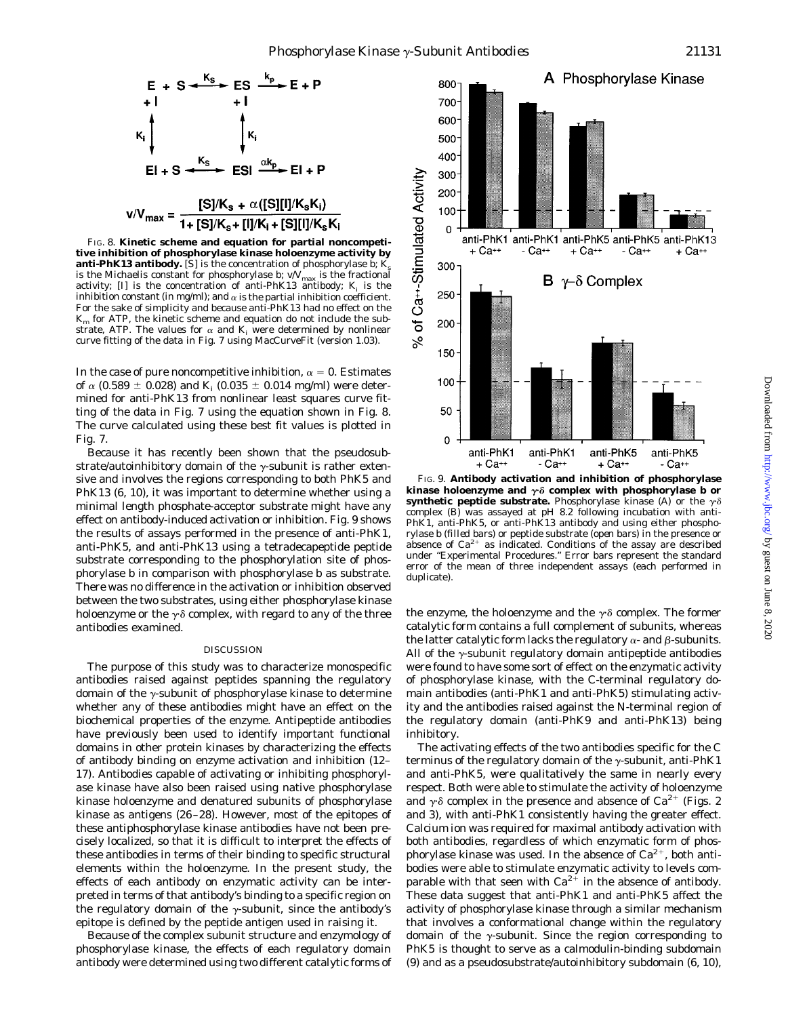

FIG. 8. **Kinetic scheme and equation for partial noncompetitive inhibition of phosphorylase kinase holoenzyme activity by anti-PhK13 antibody.** [*S*] is the concentration of phosphorylase  $b$ ;  $K$ is the Michaelis constant for phosphorylase *b*;  $v/V_{\text{max}}$  is the fractional activity;  $[I]$  is the concentration of anti-PhK13 antibody;  $K_i$  is the inhibition constant (in mg/ml); and  $\alpha$  is the partial inhibition coefficient. For the sake of simplicity and because anti-PhK13 had no effect on the  $K<sub>m</sub>$  for ATP, the kinetic scheme and equation do not include the substrate, ATP. The values for  $\alpha$  and  $K_i$  were determined by nonlinear curve fitting of the data in Fig. 7 using MacCurveFit (version 1.03).

In the case of pure noncompetitive inhibition,  $\alpha = 0$ . Estimates of  $\alpha$  (0.589  $\pm$  0.028) and *K<sub>i</sub>* (0.035  $\pm$  0.014 mg/ml) were determined for anti-PhK13 from nonlinear least squares curve fitting of the data in Fig. 7 using the equation shown in Fig. 8. The curve calculated using these best fit values is plotted in Fig. 7.

Because it has recently been shown that the pseudosubstrate/autoinhibitory domain of the  $\gamma$ -subunit is rather extensive and involves the regions corresponding to both PhK5 and PhK13 (6, 10), it was important to determine whether using a minimal length phosphate-acceptor substrate might have any effect on antibody-induced activation or inhibition. Fig. 9 shows the results of assays performed in the presence of anti-PhK1, anti-PhK5, and anti-PhK13 using a tetradecapeptide peptide substrate corresponding to the phosphorylation site of phosphorylase *b* in comparison with phosphorylase *b* as substrate. There was no difference in the activation or inhibition observed between the two substrates, using either phosphorylase kinase holoenzyme or the  $\gamma \delta$  complex, with regard to any of the three antibodies examined.

#### DISCUSSION

The purpose of this study was to characterize monospecific antibodies raised against peptides spanning the regulatory domain of the  $\gamma$ -subunit of phosphorylase kinase to determine whether any of these antibodies might have an effect on the biochemical properties of the enzyme. Antipeptide antibodies have previously been used to identify important functional domains in other protein kinases by characterizing the effects of antibody binding on enzyme activation and inhibition (12– 17). Antibodies capable of activating or inhibiting phosphorylase kinase have also been raised using native phosphorylase kinase holoenzyme and denatured subunits of phosphorylase kinase as antigens (26 –28). However, most of the epitopes of these antiphosphorylase kinase antibodies have not been precisely localized, so that it is difficult to interpret the effects of these antibodies in terms of their binding to specific structural elements within the holoenzyme. In the present study, the effects of each antibody on enzymatic activity can be interpreted in terms of that antibody's binding to a specific region on the regulatory domain of the  $\gamma$ -subunit, since the antibody's epitope is defined by the peptide antigen used in raising it.

Because of the complex subunit structure and enzymology of phosphorylase kinase, the effects of each regulatory domain antibody were determined using two different catalytic forms of



FIG. 9. **Antibody activation and inhibition of phosphorylase kinase holoenzyme and**  $\gamma \delta$  complex with phosphorylase *b* or **synthetic peptide substrate.** Phosphorylase kinase (*A*) or the  $\gamma \delta$ complex (*B*) was assayed at pH 8.2 following incubation with anti-PhK1, anti-PhK5, or anti-PhK13 antibody and using either phosphorylase *b* (*filled bars*) or peptide substrate (*open bars*) in the presence or absence of  $Ca^{2+}$  as indicated. Conditions of the assay are described under "Experimental Procedures." *Error bars* represent the standard error of the mean of three independent assays (each performed in duplicate).

the enzyme, the holoenzyme and the  $\gamma \delta$  complex. The former catalytic form contains a full complement of subunits, whereas the latter catalytic form lacks the regulatory  $\alpha$ - and  $\beta$ -subunits. All of the  $\gamma$ -subunit regulatory domain antipeptide antibodies were found to have some sort of effect on the enzymatic activity of phosphorylase kinase, with the C-terminal regulatory domain antibodies (anti-PhK1 and anti-PhK5) stimulating activity and the antibodies raised against the N-terminal region of the regulatory domain (anti-PhK9 and anti-PhK13) being inhibitory.

The activating effects of the two antibodies specific for the C terminus of the regulatory domain of the  $\gamma$ -subunit, anti-PhK1 and anti-PhK5, were qualitatively the same in nearly every respect. Both were able to stimulate the activity of holoenzyme and  $\gamma \delta$  complex in the presence and absence of Ca<sup>2+</sup> (Figs. 2) and 3), with anti-PhK1 consistently having the greater effect. Calcium ion was required for maximal antibody activation with both antibodies, regardless of which enzymatic form of phosphorylase kinase was used. In the absence of  $Ca^{2+}$ , both antibodies were able to stimulate enzymatic activity to levels comparable with that seen with  $Ca^{2+}$  in the absence of antibody. These data suggest that anti-PhK1 and anti-PhK5 affect the activity of phosphorylase kinase through a similar mechanism that involves a conformational change within the regulatory domain of the  $\gamma$ -subunit. Since the region corresponding to PhK5 is thought to serve as a calmodulin-binding subdomain (9) and as a pseudosubstrate/autoinhibitory subdomain (6, 10),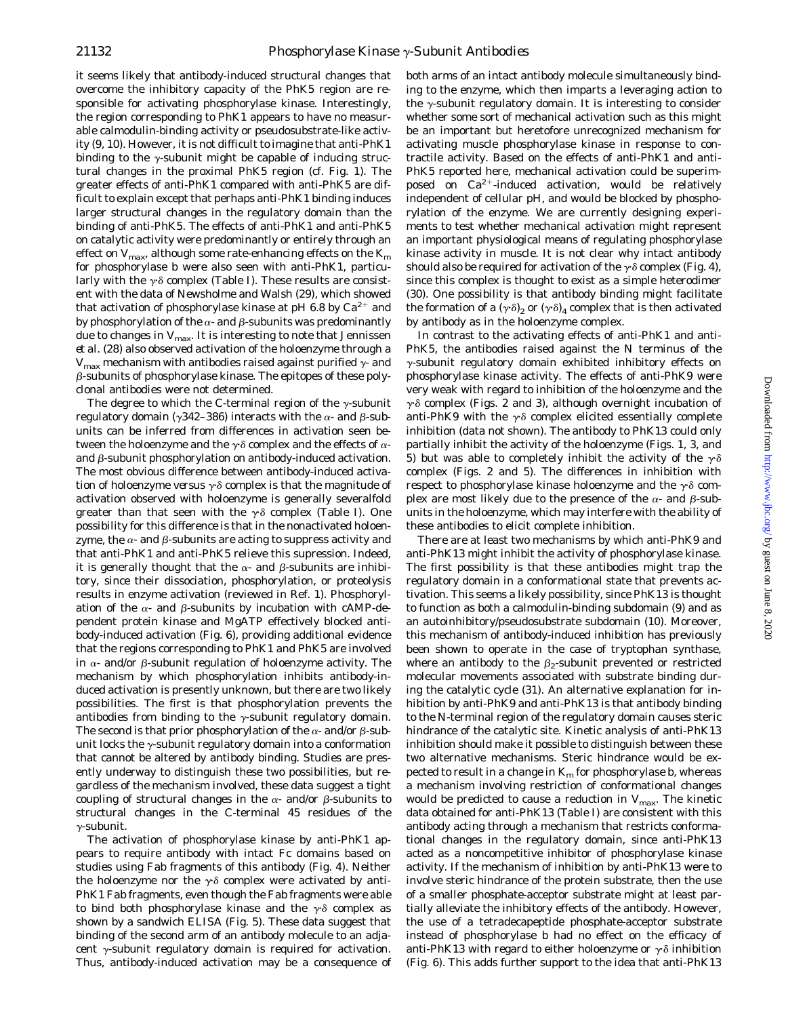it seems likely that antibody-induced structural changes that overcome the inhibitory capacity of the PhK5 region are responsible for activating phosphorylase kinase. Interestingly, the region corresponding to PhK1 appears to have no measurable calmodulin-binding activity or pseudosubstrate-like activity (9, 10). However, it is not difficult to imagine that anti-PhK1 binding to the  $\gamma$ -subunit might be capable of inducing structural changes in the proximal PhK5 region (cf. Fig. 1). The greater effects of anti-PhK1 compared with anti-PhK5 are difficult to explain except that perhaps anti-PhK1 binding induces larger structural changes in the regulatory domain than the binding of anti-PhK5. The effects of anti-PhK1 and anti-PhK5 on catalytic activity were predominantly or entirely through an effect on  $V_{\text{max}}$ , although some rate-enhancing effects on the  $K_m$ for phosphorylase *b* were also seen with anti-PhK1, particularly with the  $\gamma \delta$  complex (Table I). These results are consistent with the data of Newsholme and Walsh (29), which showed that activation of phosphorylase kinase at pH 6.8 by  $Ca^{2+}$  and by phosphorylation of the  $\alpha$ - and  $\beta$ -subunits was predominantly due to changes in  $V_{\text{max}}$ . It is interesting to note that Jennissen *et al.* (28) also observed activation of the holoenzyme through a  $V_{\text{max}}$  mechanism with antibodies raised against purified  $\gamma$ - and  $\beta$ -subunits of phosphorylase kinase. The epitopes of these polyclonal antibodies were not determined.

The degree to which the C-terminal region of the  $\gamma$ -subunit regulatory domain ( $\gamma$ 342–386) interacts with the  $\alpha$ - and  $\beta$ -subunits can be inferred from differences in activation seen between the holoenzyme and the  $\gamma\delta$  complex and the effects of  $\alpha$ and  $\beta$ -subunit phosphorylation on antibody-induced activation. The most obvious difference between antibody-induced activation of holoenzyme *versus*  $\gamma \delta$  complex is that the magnitude of activation observed with holoenzyme is generally severalfold greater than that seen with the  $\gamma\delta$  complex (Table I). One possibility for this difference is that in the nonactivated holoenzyme, the  $\alpha$ - and  $\beta$ -subunits are acting to suppress activity and that anti-PhK1 and anti-PhK5 relieve this supression. Indeed, it is generally thought that the  $\alpha$ - and  $\beta$ -subunits are inhibitory, since their dissociation, phosphorylation, or proteolysis results in enzyme activation (reviewed in Ref. 1). Phosphorylation of the  $\alpha$ - and  $\beta$ -subunits by incubation with cAMP-dependent protein kinase and MgATP effectively blocked antibody-induced activation (Fig. 6), providing additional evidence that the regions corresponding to PhK1 and PhK5 are involved in  $\alpha$ - and/or  $\beta$ -subunit regulation of holoenzyme activity. The mechanism by which phosphorylation inhibits antibody-induced activation is presently unknown, but there are two likely possibilities. The first is that phosphorylation prevents the antibodies from binding to the  $\gamma$ -subunit regulatory domain. The second is that prior phosphorylation of the  $\alpha$ - and/or  $\beta$ -subunit locks the  $\gamma$ -subunit regulatory domain into a conformation that cannot be altered by antibody binding. Studies are presently underway to distinguish these two possibilities, but regardless of the mechanism involved, these data suggest a tight coupling of structural changes in the  $\alpha$ - and/or  $\beta$ -subunits to structural changes in the C-terminal 45 residues of the  $\nu$ -subunit.

The activation of phosphorylase kinase by anti-PhK1 appears to require antibody with intact Fc domains based on studies using Fab fragments of this antibody (Fig. 4). Neither the holoenzyme nor the  $\gamma \delta$  complex were activated by anti-PhK1 Fab fragments, even though the Fab fragments were able to bind both phosphorylase kinase and the  $\gamma \delta$  complex as shown by a sandwich ELISA (Fig. 5). These data suggest that binding of the second arm of an antibody molecule to an adjacent  $\gamma$ -subunit regulatory domain is required for activation. Thus, antibody-induced activation may be a consequence of both arms of an intact antibody molecule simultaneously binding to the enzyme, which then imparts a leveraging action to the  $\gamma$ -subunit regulatory domain. It is interesting to consider whether some sort of mechanical activation such as this might be an important but heretofore unrecognized mechanism for activating muscle phosphorylase kinase in response to contractile activity. Based on the effects of anti-PhK1 and anti-PhK5 reported here, mechanical activation could be superimposed on  $Ca^{2+}$ -induced activation, would be relatively independent of cellular pH, and would be blocked by phosphorylation of the enzyme. We are currently designing experiments to test whether mechanical activation might represent an important physiological means of regulating phosphorylase kinase activity in muscle. It is not clear why intact antibody should also be required for activation of the  $\gamma \delta$  complex (Fig. 4), since this complex is thought to exist as a simple heterodimer (30). One possibility is that antibody binding might facilitate the formation of a  $(\gamma \delta)$ , or  $(\gamma \delta)$  complex that is then activated by antibody as in the holoenzyme complex.

In contrast to the activating effects of anti-PhK1 and anti-PhK5, the antibodies raised against the N terminus of the  $\gamma$ -subunit regulatory domain exhibited inhibitory effects on phosphorylase kinase activity. The effects of anti-PhK9 were very weak with regard to inhibition of the holoenzyme and the  $\gamma$  $\delta$  complex (Figs. 2 and 3), although overnight incubation of anti-PhK9 with the  $\gamma\delta$  complex elicited essentially complete inhibition (data not shown). The antibody to PhK13 could only partially inhibit the activity of the holoenzyme (Figs. 1, 3, and 5) but was able to completely inhibit the activity of the  $\gamma\delta$ complex (Figs. 2 and 5). The differences in inhibition with respect to phosphorylase kinase holoenzyme and the  $\gamma\delta$  complex are most likely due to the presence of the  $\alpha$ - and  $\beta$ -subunits in the holoenzyme, which may interfere with the ability of these antibodies to elicit complete inhibition.

There are at least two mechanisms by which anti-PhK9 and anti-PhK13 might inhibit the activity of phosphorylase kinase. The first possibility is that these antibodies might trap the regulatory domain in a conformational state that prevents activation. This seems a likely possibility, since PhK13 is thought to function as both a calmodulin-binding subdomain (9) and as an autoinhibitory/pseudosubstrate subdomain (10). Moreover, this mechanism of antibody-induced inhibition has previously been shown to operate in the case of tryptophan synthase, where an antibody to the  $\beta_2$ -subunit prevented or restricted molecular movements associated with substrate binding during the catalytic cycle (31). An alternative explanation for inhibition by anti-PhK9 and anti-PhK13 is that antibody binding to the N-terminal region of the regulatory domain causes steric hindrance of the catalytic site. Kinetic analysis of anti-PhK13 inhibition should make it possible to distinguish between these two alternative mechanisms. Steric hindrance would be expected to result in a change in  $K<sub>m</sub>$  for phosphorylase *b*, whereas a mechanism involving restriction of conformational changes would be predicted to cause a reduction in  $V_{\text{max}}$ . The kinetic data obtained for anti-PhK13 (Table I) are consistent with this antibody acting through a mechanism that restricts conformational changes in the regulatory domain, since anti-PhK13 acted as a noncompetitive inhibitor of phosphorylase kinase activity. If the mechanism of inhibition by anti-PhK13 were to involve steric hindrance of the protein substrate, then the use of a smaller phosphate-acceptor substrate might at least partially alleviate the inhibitory effects of the antibody. However, the use of a tetradecapeptide phosphate-acceptor substrate instead of phosphorylase *b* had no effect on the efficacy of anti-PhK13 with regard to either holoenzyme or  $\gamma \delta$  inhibition (Fig. 6). This adds further support to the idea that anti-PhK13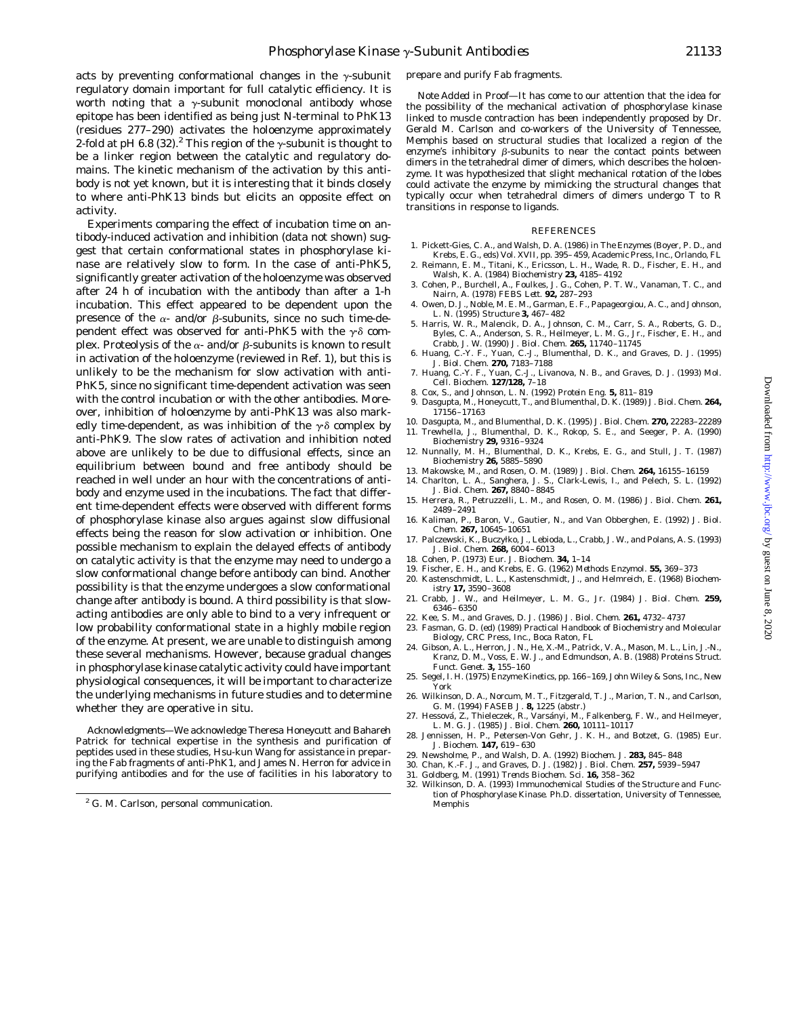acts by preventing conformational changes in the  $\gamma$ -subunit regulatory domain important for full catalytic efficiency. It is worth noting that a  $\gamma$ -subunit monoclonal antibody whose epitope has been identified as being just N-terminal to PhK13 (residues 277–290) activates the holoenzyme approximately 2-fold at pH 6.8 (32).<sup>2</sup> This region of the  $\gamma$ -subunit is thought to be a linker region between the catalytic and regulatory domains. The kinetic mechanism of the activation by this antibody is not yet known, but it is interesting that it binds closely to where anti-PhK13 binds but elicits an opposite effect on activity.

Experiments comparing the effect of incubation time on antibody-induced activation and inhibition (data not shown) suggest that certain conformational states in phosphorylase kinase are relatively slow to form. In the case of anti-PhK5, significantly greater activation of the holoenzyme was observed after 24 h of incubation with the antibody than after a 1-h incubation. This effect appeared to be dependent upon the presence of the  $\alpha$ - and/or  $\beta$ -subunits, since no such time-dependent effect was observed for anti-PhK5 with the  $\gamma\delta$  complex. Proteolysis of the  $\alpha$ - and/or  $\beta$ -subunits is known to result in activation of the holoenzyme (reviewed in Ref. 1), but this is unlikely to be the mechanism for slow activation with anti-PhK5, since no significant time-dependent activation was seen with the control incubation or with the other antibodies. Moreover, inhibition of holoenzyme by anti-PhK13 was also markedly time-dependent, as was inhibition of the  $\gamma \delta$  complex by anti-PhK9. The slow rates of activation and inhibition noted above are unlikely to be due to diffusional effects, since an equilibrium between bound and free antibody should be reached in well under an hour with the concentrations of antibody and enzyme used in the incubations. The fact that different time-dependent effects were observed with different forms of phosphorylase kinase also argues against slow diffusional effects being the reason for slow activation or inhibition. One possible mechanism to explain the delayed effects of antibody on catalytic activity is that the enzyme may need to undergo a slow conformational change before antibody can bind. Another possibility is that the enzyme undergoes a slow conformational change after antibody is bound. A third possibility is that slowacting antibodies are only able to bind to a very infrequent or low probability conformational state in a highly mobile region of the enzyme. At present, we are unable to distinguish among these several mechanisms. However, because gradual changes in phosphorylase kinase catalytic activity could have important physiological consequences, it will be important to characterize the underlying mechanisms in future studies and to determine whether they are operative *in situ*.

*Acknowledgments—*We acknowledge Theresa Honeycutt and Bahareh Patrick for technical expertise in the synthesis and purification of peptides used in these studies, Hsu-kun Wang for assistance in preparing the Fab fragments of anti-PhK1, and James N. Herron for advice in purifying antibodies and for the use of facilities in his laboratory to

*Note Added in Proof*—It has come to our attention that the idea for the possibility of the mechanical activation of phosphorylase kinase linked to muscle contraction has been independently proposed by Dr. Gerald M. Carlson and co-workers of the University of Tennessee, Memphis based on structural studies that localized a region of the enzyme's inhibitory  $\beta$ -subunits to near the contact points between dimers in the tetrahedral dimer of dimers, which describes the holoenzyme. It was hypothesized that slight mechanical rotation of the lobes could activate the enzyme by mimicking the structural changes that typically occur when tetrahedral dimers of dimers undergo T to R transitions in response to ligands.

#### REFERENCES

- 1. Pickett-Gies, C. A., and Walsh, D. A. (1986) in *The Enzymes* (Boyer, P. D., and Krebs, E. G., eds) Vol. XVII, pp. 395– 459, Academic Press, Inc., Orlando, FL
- 2. Reimann, E. M., Titani, K., Ericsson, L. H., Wade, R. D., Fischer, E. H., and Walsh, K. A. (1984) *Biochemistry* **23,** 4185– 4192
- 3. Cohen, P., Burchell, A., Foulkes, J. G., Cohen, P. T. W., Vanaman, T. C., and Nairn, A. (1978) *FEBS Lett.* **92,** 287–293
- 4. Owen, D. J., Noble, M. E. M., Garman, E. F., Papageorgiou, A. C., and Johnson, L. N. (1995) *Structure* **3,** 467– 482
- 5. Harris, W. R., Malencik, D. A., Johnson, C. M., Carr, S. A., Roberts, G. D., Byles, C. A., Anderson, S. R., Heilmeyer, L. M. G., Jr., Fischer, E. H., and Crabb, J. W. (1990) *J. Biol. Chem.* **265,** 11740 –11745
- 6. Huang, C.-Y. F., Yuan, C.-J., Blumenthal, D. K., and Graves, D. J. (1995) *J. Biol. Chem.* **270,** 7183–7188
- 7. Huang, C.-Y. F., Yuan, C.-J., Livanova, N. B., and Graves, D. J. (1993) *Mol. Cell. Biochem.* **127/128,** 7–18
- 8. Cox, S., and Johnson, L. N. (1992) *Protein Eng.* **5,** 811– 819
- 9. Dasgupta, M., Honeycutt, T., and Blumenthal, D. K. (1989) *J. Biol. Chem.* **264,** 17156 –17163
- 10. Dasgupta, M., and Blumenthal, D. K. (1995) *J. Biol. Chem.* **270,** 22283–22289 11. Trewhella, J., Blumenthal, D. K., Rokop, S. E., and Seeger, P. A. (1990) *Biochemistry* **29,** 9316 –9324
- 12. Nunnally, M. H., Blumenthal, D. K., Krebs, E. G., and Stull, J. T. (1987) *Biochemistry* **26,** 5885–5890
- 13. Makowske, M., and Rosen, O. M. (1989) *J. Biol. Chem.* **264,** 16155–16159
- 14. Charlton, L. A., Sanghera, J. S., Clark-Lewis, I., and Pelech, S. L. (1992) *J. Biol. Chem.* **267,** 8840 – 8845
- 15. Herrera, R., Petruzzelli, L. M., and Rosen, O. M. (1986) *J. Biol. Chem.* **261,** 2489 –2491
- 16. Kaliman, P., Baron, V., Gautier, N., and Van Obberghen, E. (1992) *J. Biol. Chem.* **267,** 10645–10651
- 17. Palczewski, K., Buczyłko, J., Lebioda, L., Crabb, J. W., and Polans, A. S. (1993) *J. Biol. Chem.* **268,** 6004 – 6013
- 18. Cohen, P. (1973) *Eur. J. Biochem.* **34,** 1–14
- 19. Fischer, E. H., and Krebs, E. G. (1962) *Methods Enzymol.* **55,** 369 –373 20. Kastenschmidt, L. L., Kastenschmidt, J., and Helmreich, E. (1968) *Biochemistry* **17,** 3590 –3608
- 21. Crabb, J. W., and Heilmeyer, L. M. G., Jr. (1984) *J. Biol. Chem.* **259,**
- 6346 6350 22. Kee, S. M., and Graves, D. J. (1986) *J. Biol. Chem.* **261,** 4732– 4737
- 23. Fasman, G. D. (ed) (1989) *Practical Handbook of Biochemistry and Molecular Biology*, CRC Press, Inc., Boca Raton, FL
- 24. Gibson, A. L., Herron, J. N., He, X.-M., Patrick, V. A., Mason, M. L., Lin, J.-N., Kranz, D. M., Voss, E. W. J., and Edmundson, A. B. (1988) *Proteins Struct. Funct. Genet.* **3,** 155–160
- 25. Segel, I. H. (1975) *Enzyme Kinetics*, pp. 166 –169, John Wiley & Sons, Inc., New York
- 26. Wilkinson, D. A., Norcum, M. T., Fitzgerald, T. J., Marion, T. N., and Carlson, G. M. (1994) *FASEB J.* **8,** 1225 (abstr.)
- 27. Hessová, Z., Thieleczek, R., Varsányi, M., Falkenberg, F. W., and Heilmeyer, L. M. G. J. (1985) *J. Biol. Chem.* **260,** 10111–10117
- 28. Jennissen, H. P., Petersen-Von Gehr, J. K. H., and Botzet, G. (1985) *Eur. J. Biochem.* **147,** 619 – 630
- 29. Newsholme, P., and Walsh, D. A. (1992) *Biochem. J.* **283,** 845– 848
- 30. Chan, K.-F. J., and Graves, D. J. (1982) *J. Biol. Chem.* **257,** 5939 –5947
- 31. Goldberg, M. (1991) *Trends Biochem. Sci.* **16,** 358 –362
- 32. Wilkinson, D. A. (1993) *Immunochemical Studies of the Structure and Function of Phosphorylase Kinase.* Ph.D. dissertation, University of Tennessee,

<sup>&</sup>lt;sup>2</sup> G. M. Carlson, personal communication. The same of the Memphis Memphis